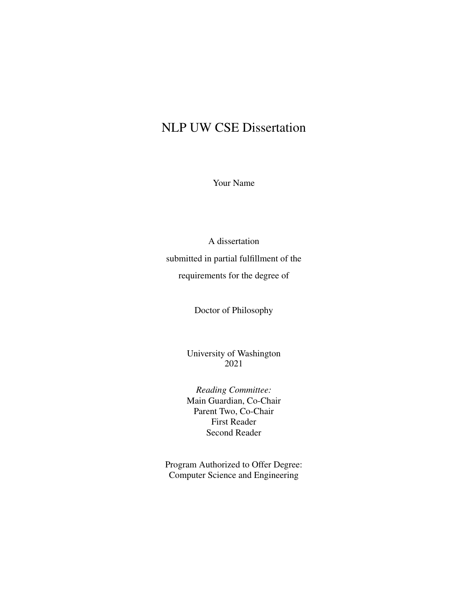#### NLP UW CSE Dissertation

Your Name

A dissertation submitted in partial fulfillment of the requirements for the degree of

Doctor of Philosophy

University of Washington 2021

*Reading Committee:* Main Guardian, Co-Chair Parent Two, Co-Chair First Reader Second Reader

Program Authorized to Offer Degree: Computer Science and Engineering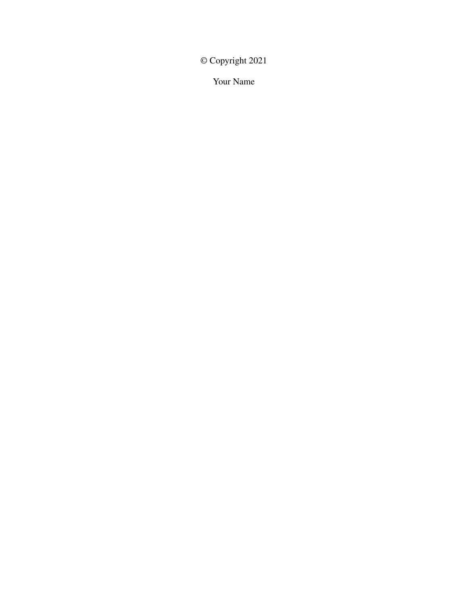© Copyright 2021

Your Name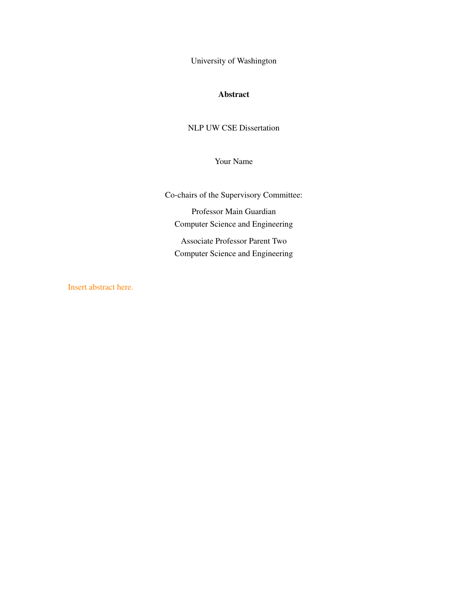University of Washington

#### Abstract

NLP UW CSE Dissertation

Your Name

Co-chairs of the Supervisory Committee:

Professor Main Guardian Computer Science and Engineering

Associate Professor Parent Two Computer Science and Engineering

Insert abstract here.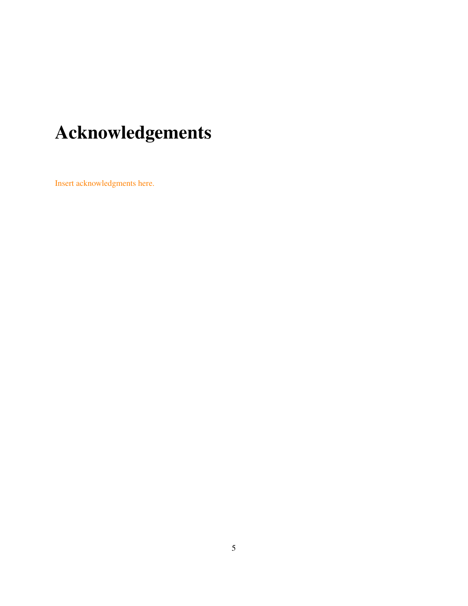# Acknowledgements

Insert acknowledgments here.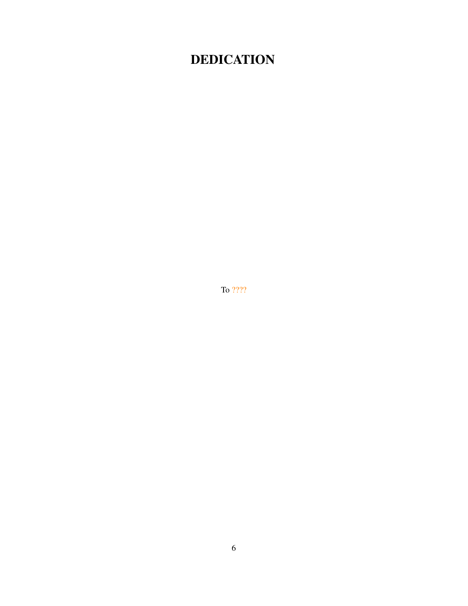### **DEDICATION**

To  $????$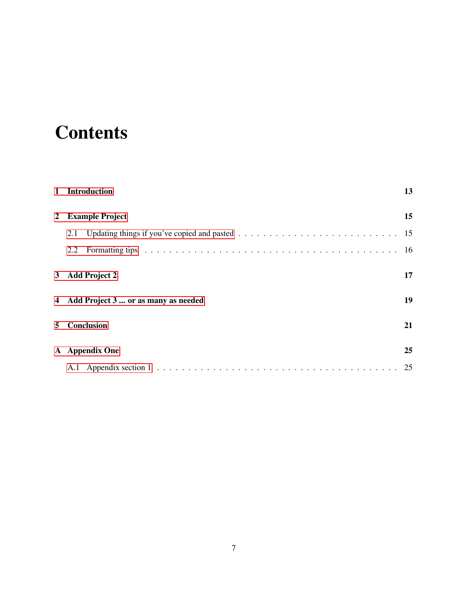## **Contents**

| $\mathbf{1}$ | <b>Introduction</b>                   | 13 |
|--------------|---------------------------------------|----|
| 2            | <b>Example Project</b>                |    |
|              | 2.1                                   |    |
|              | 2.2                                   |    |
|              | 3 Add Project 2                       | 17 |
|              | 4 Add Project 3  or as many as needed | 19 |
| 5            | Conclusion                            | 21 |
|              | A Appendix One                        | 25 |
|              |                                       | 25 |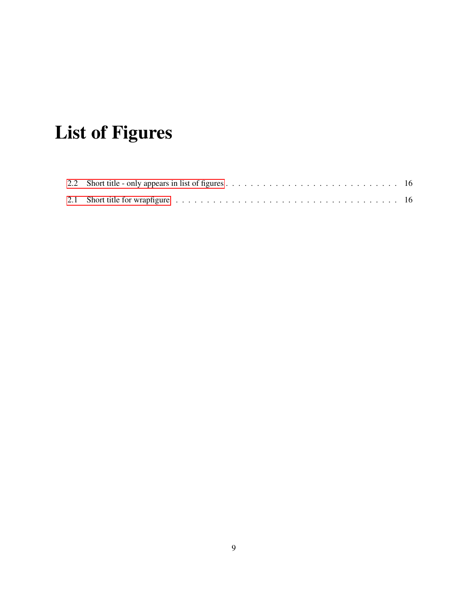# List of Figures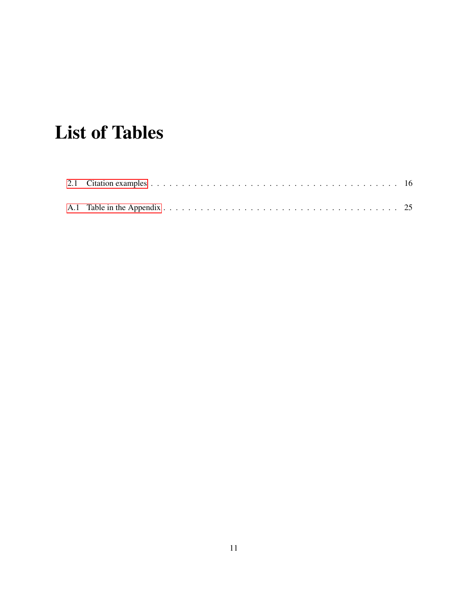## List of Tables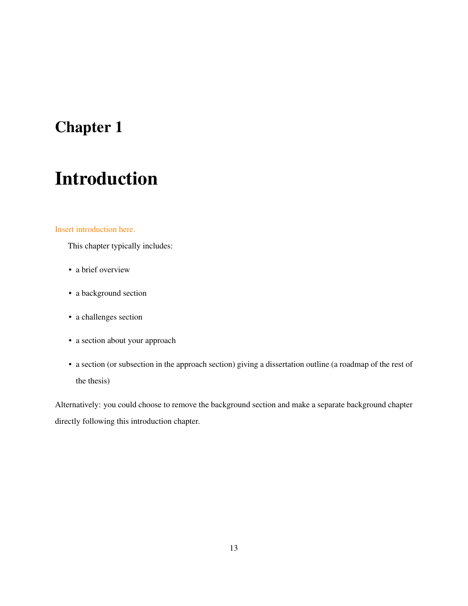## <span id="page-12-0"></span>Introduction

#### Insert introduction here.

This chapter typically includes:

- a brief overview
- a background section
- a challenges section
- a section about your approach
- a section (or subsection in the approach section) giving a dissertation outline (a roadmap of the rest of the thesis)

Alternatively: you could choose to remove the background section and make a separate background chapter directly following this introduction chapter.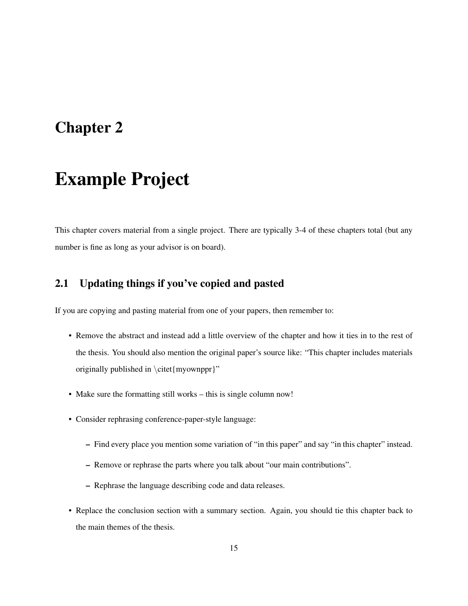### <span id="page-14-0"></span>Example Project

This chapter covers material from a single project. There are typically 3-4 of these chapters total (but any number is fine as long as your advisor is on board).

#### <span id="page-14-1"></span>2.1 Updating things if you've copied and pasted

If you are copying and pasting material from one of your papers, then remember to:

- Remove the abstract and instead add a little overview of the chapter and how it ties in to the rest of the thesis. You should also mention the original paper's source like: "This chapter includes materials originally published in \citet{myownppr}"
- Make sure the formatting still works this is single column now!
- Consider rephrasing conference-paper-style language:
	- Find every place you mention some variation of "in this paper" and say "in this chapter" instead.
	- Remove or rephrase the parts where you talk about "our main contributions".
	- Rephrase the language describing code and data releases.
- Replace the conclusion section with a summary section. Again, you should tie this chapter back to the main themes of the thesis.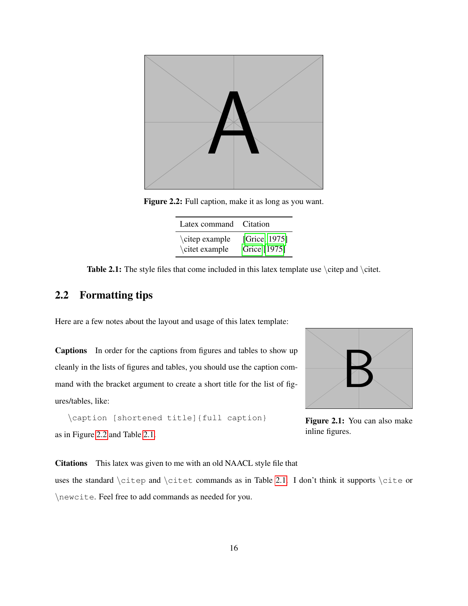<span id="page-15-1"></span>

Figure 2.2: Full caption, make it as long as you want.

| Latex command  | Citation      |
|----------------|---------------|
| \citep example | [Grice, 1975] |
| \citet example | Grice [1975]  |

<span id="page-15-3"></span>Table 2.1: The style files that come included in this latex template use \citep and \citet.

#### <span id="page-15-0"></span>2.2 Formatting tips

Here are a few notes about the layout and usage of this latex template:

Captions In order for the captions from figures and tables to show up cleanly in the lists of figures and tables, you should use the caption command with the bracket argument to create a short title for the list of figures/tables, like:

```
\caption [shortened title]{full caption}
as in Figure 2.2 and Table 2.1.
```
<span id="page-15-2"></span>

Figure 2.1: You can also make inline figures.

Citations This latex was given to me with an old NAACL style file that

uses the standard  $\cite{right}$  and  $\cite{right}$  commands as in Table [2.1.](#page-15-3) I don't think it supports  $\cite{right}$ \newcite. Feel free to add commands as needed for you.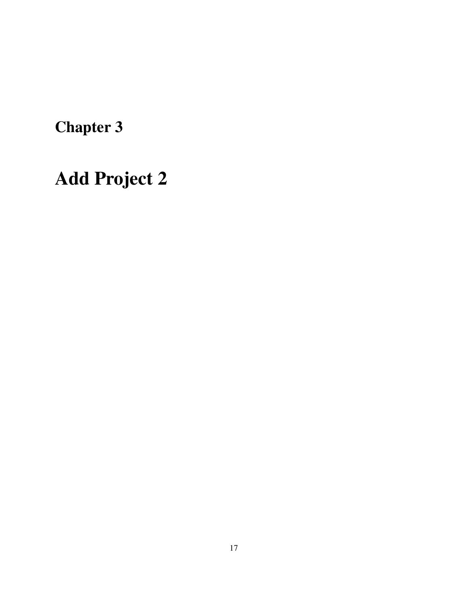# <span id="page-16-0"></span>Add Project 2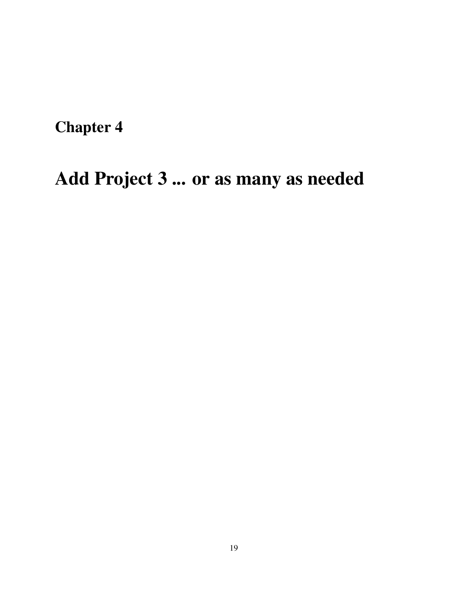# <span id="page-18-0"></span>Add Project 3 ... or as many as needed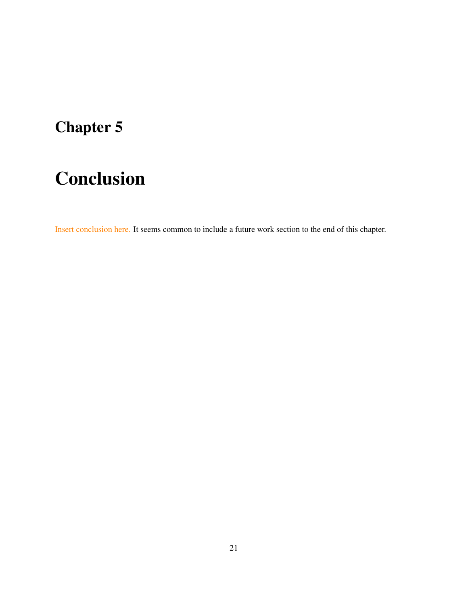# <span id="page-20-0"></span>Conclusion

Insert conclusion here. It seems common to include a future work section to the end of this chapter.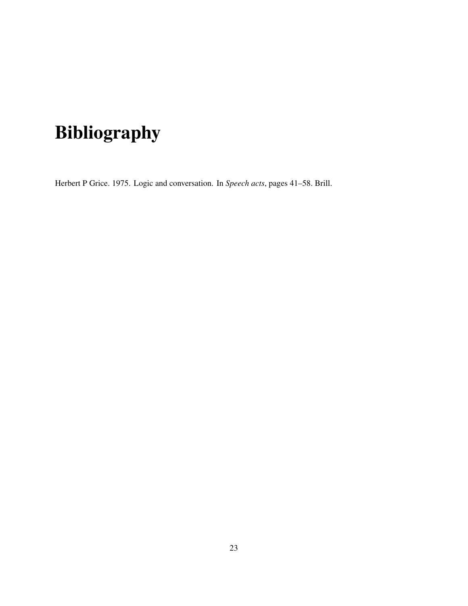# Bibliography

<span id="page-22-0"></span>Herbert P Grice. 1975. Logic and conversation. In *Speech acts*, pages 41–58. Brill.